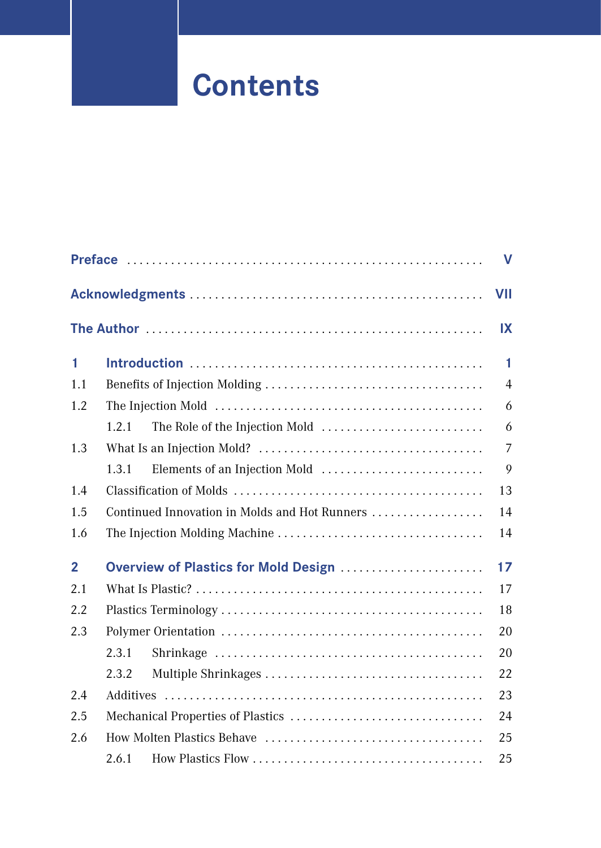## **Contents**

|                |                                               | $\mathbf v$    |
|----------------|-----------------------------------------------|----------------|
|                |                                               | VII            |
|                |                                               | IX             |
| 1              |                                               | 1              |
| 1.1            |                                               | $\overline{4}$ |
| 1.2            |                                               | 6              |
|                | 1.2.1                                         | 6              |
| 1.3            |                                               | $\overline{7}$ |
|                | Elements of an Injection Mold<br>1.3.1        | 9              |
| 1.4            |                                               | 13             |
| 1.5            | Continued Innovation in Molds and Hot Runners | 14             |
| 1.6            |                                               | 14             |
| $\overline{2}$ | Overview of Plastics for Mold Design          | 17             |
| 2.1            |                                               | 17             |
| 2.2            |                                               | 18             |
| 2.3            |                                               | 20             |
|                | 2.3.1                                         | 20             |
|                | 2.3.2                                         | 22             |
| 2.4            |                                               | 23             |
| 2.5            |                                               | 24             |
| 2.6            |                                               | 25             |
|                | 2.6.1                                         | 25             |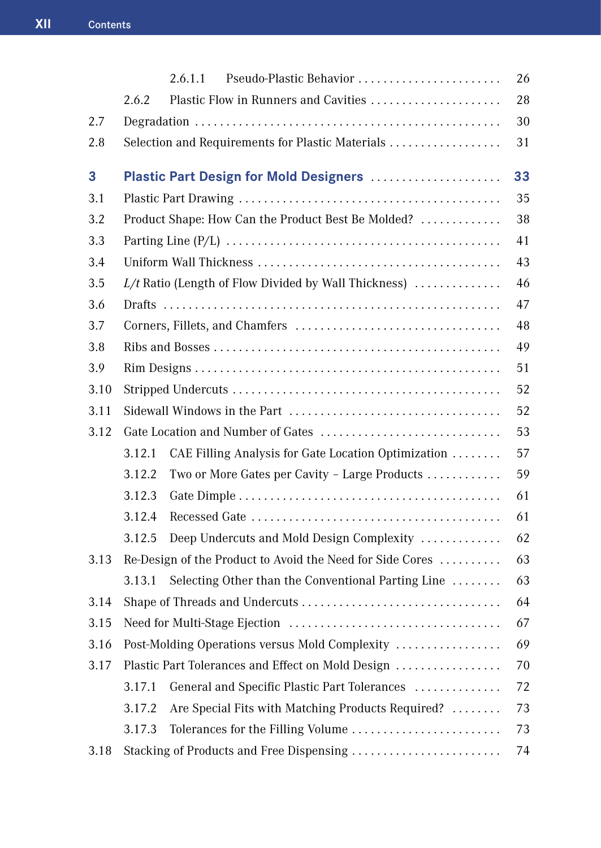|      | Pseudo-Plastic Behavior<br>2.6.1.1                              | 26 |
|------|-----------------------------------------------------------------|----|
|      | Plastic Flow in Runners and Cavities<br>2.6.2                   | 28 |
| 2.7  |                                                                 | 30 |
| 2.8  | Selection and Requirements for Plastic Materials                | 31 |
| 3    | Plastic Part Design for Mold Designers                          | 33 |
| 3.1  |                                                                 | 35 |
| 3.2  | Product Shape: How Can the Product Best Be Molded?              | 38 |
| 3.3  |                                                                 | 41 |
| 3.4  |                                                                 | 43 |
| 3.5  | $L/t$ Ratio (Length of Flow Divided by Wall Thickness) $\ldots$ | 46 |
| 3.6  |                                                                 | 47 |
| 3.7  |                                                                 | 48 |
| 3.8  |                                                                 | 49 |
| 3.9  |                                                                 | 51 |
| 3.10 |                                                                 | 52 |
| 3.11 |                                                                 | 52 |
| 3.12 |                                                                 | 53 |
|      | 3.12.1<br>CAE Filling Analysis for Gate Location Optimization   | 57 |
|      | 3.12.2<br>Two or More Gates per Cavity - Large Products         | 59 |
|      | 3.12.3                                                          | 61 |
|      | 3.12.4                                                          | 61 |
|      | 3.12.5<br>Deep Undercuts and Mold Design Complexity             | 62 |
| 3.13 | Re-Design of the Product to Avoid the Need for Side Cores       | 63 |
|      | 3.13.1<br>Selecting Other than the Conventional Parting Line    | 63 |
| 3.14 |                                                                 | 64 |
| 3.15 |                                                                 | 67 |
| 3.16 | Post-Molding Operations versus Mold Complexity                  | 69 |
| 3.17 | Plastic Part Tolerances and Effect on Mold Design               | 70 |
|      | 3.17.1<br>General and Specific Plastic Part Tolerances          | 72 |
|      | 3.17.2<br>Are Special Fits with Matching Products Required?     | 73 |
|      | 3.17.3<br>Tolerances for the Filling Volume                     | 73 |
| 3.18 | Stacking of Products and Free Dispensing                        | 74 |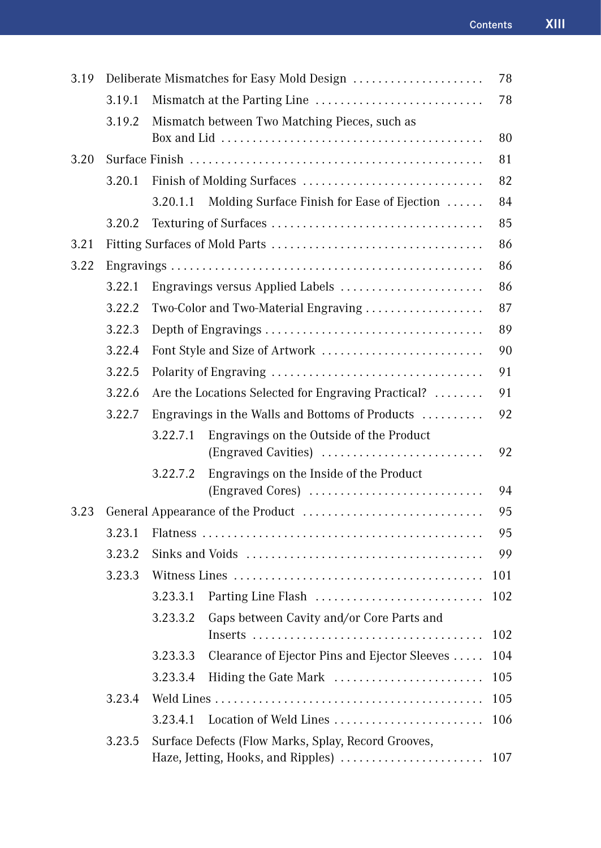| 3.19 |        |                                                 | Deliberate Mismatches for Easy Mold Design                                                | 78  |  |
|------|--------|-------------------------------------------------|-------------------------------------------------------------------------------------------|-----|--|
|      | 3.19.1 |                                                 |                                                                                           | 78  |  |
|      | 3.19.2 |                                                 | Mismatch between Two Matching Pieces, such as                                             |     |  |
|      |        |                                                 |                                                                                           | 80  |  |
| 3.20 |        |                                                 |                                                                                           | 81  |  |
|      | 3.20.1 |                                                 |                                                                                           | 82  |  |
|      |        | 3.20.1.1                                        | Molding Surface Finish for Ease of Ejection                                               | 84  |  |
|      | 3.20.2 |                                                 |                                                                                           | 85  |  |
| 3.21 |        |                                                 |                                                                                           | 86  |  |
| 3.22 |        |                                                 |                                                                                           | 86  |  |
|      | 3.22.1 |                                                 | Engravings versus Applied Labels                                                          | 86  |  |
|      | 3.22.2 |                                                 | Two-Color and Two-Material Engraving                                                      | 87  |  |
|      | 3.22.3 |                                                 |                                                                                           | 89  |  |
|      | 3.22.4 |                                                 |                                                                                           | 90  |  |
|      | 3.22.5 | 91                                              |                                                                                           |     |  |
|      | 3.22.6 |                                                 | Are the Locations Selected for Engraving Practical?                                       | 91  |  |
|      | 3.22.7 | Engravings in the Walls and Bottoms of Products |                                                                                           |     |  |
|      |        | 3.22.7.1                                        | Engravings on the Outside of the Product<br>(Engraved Cavities)                           | 92  |  |
|      |        | 3.22.7.2                                        | Engravings on the Inside of the Product<br>(Engraved Cores)                               | 94  |  |
| 3.23 |        |                                                 |                                                                                           | 95  |  |
|      | 3.23.1 |                                                 |                                                                                           |     |  |
|      | 3.23.2 |                                                 |                                                                                           |     |  |
|      | 3.23.3 |                                                 |                                                                                           | 101 |  |
|      |        | 3.23.3.1                                        | Parting Line Flash                                                                        | 102 |  |
|      |        | 3.23.3.2                                        | Gaps between Cavity and/or Core Parts and                                                 | 102 |  |
|      |        | 3.23.3.3                                        | Clearance of Ejector Pins and Ejector Sleeves                                             | 104 |  |
|      |        | 3.23.3.4                                        | Hiding the Gate Mark                                                                      | 105 |  |
|      | 3.23.4 |                                                 |                                                                                           | 105 |  |
|      |        | 3.23.4.1                                        | Location of Weld Lines                                                                    | 106 |  |
|      | 3.23.5 |                                                 | Surface Defects (Flow Marks, Splay, Record Grooves,<br>Haze, Jetting, Hooks, and Ripples) | 107 |  |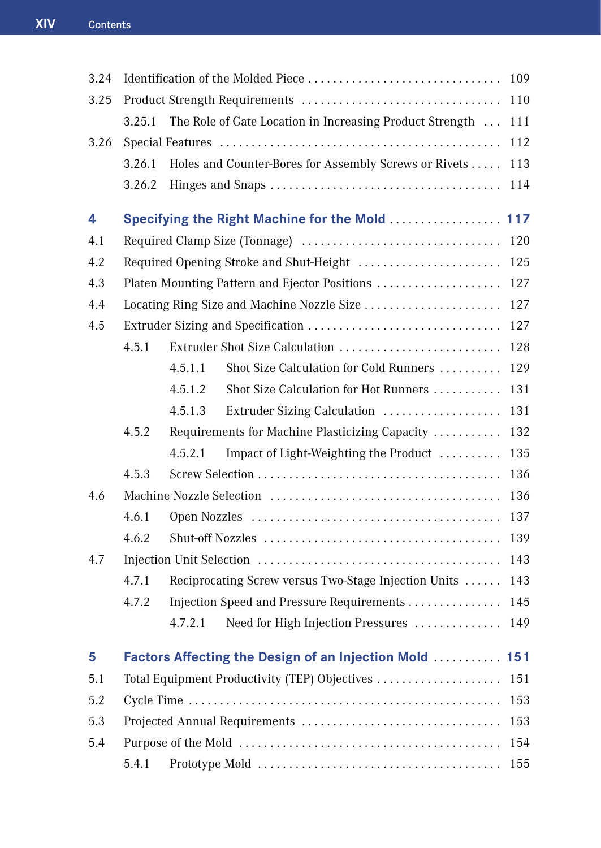| 3.24 |        | Identification of the Molded Piece                        | 109 |
|------|--------|-----------------------------------------------------------|-----|
| 3.25 |        |                                                           | 110 |
|      | 3.25.1 | The Role of Gate Location in Increasing Product Strength  | 111 |
| 3.26 |        |                                                           | 112 |
|      | 3.26.1 | Holes and Counter-Bores for Assembly Screws or Rivets     | 113 |
|      | 3.26.2 |                                                           | 114 |
| 4    |        |                                                           |     |
|      |        | Specifying the Right Machine for the Mold  117            |     |
| 4.1  |        |                                                           | 120 |
| 4.2  |        |                                                           | 125 |
| 4.3  |        | Platen Mounting Pattern and Ejector Positions             | 127 |
| 4.4  |        |                                                           | 127 |
| 4.5  |        |                                                           | 127 |
|      | 4.5.1  | Extruder Shot Size Calculation                            | 128 |
|      |        | Shot Size Calculation for Cold Runners<br>4.5.1.1         | 129 |
|      |        | 4.5.1.2<br>Shot Size Calculation for Hot Runners          | 131 |
|      |        | 4.5.1.3<br>Extruder Sizing Calculation                    | 131 |
|      | 4.5.2  | Requirements for Machine Plasticizing Capacity            | 132 |
|      |        | Impact of Light-Weighting the Product<br>4.5.2.1          | 135 |
|      | 4.5.3  |                                                           | 136 |
| 4.6  |        |                                                           | 136 |
|      | 4.6.1  |                                                           | 137 |
|      | 4.6.2  |                                                           | 139 |
| 4.7  |        |                                                           | 143 |
|      | 4.7.1  | Reciprocating Screw versus Two-Stage Injection Units      | 143 |
|      | 4.7.2  | Injection Speed and Pressure Requirements                 | 145 |
|      |        | Need for High Injection Pressures<br>4.7.2.1              | 149 |
| 5    |        | <b>Factors Affecting the Design of an Injection Mold </b> | 151 |
|      |        |                                                           |     |
| 5.1  |        | Total Equipment Productivity (TEP) Objectives             | 151 |
| 5.2  |        |                                                           | 153 |
| 5.3  |        |                                                           | 153 |
| 5.4  |        |                                                           | 154 |
|      | 5.4.1  |                                                           | 155 |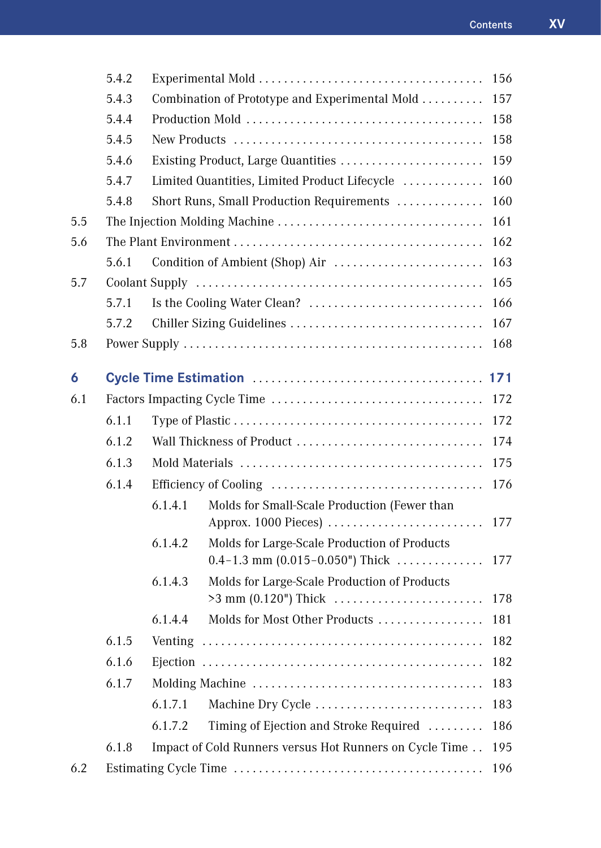|     | 5.4.2 |         |                                                                                        | 156 |
|-----|-------|---------|----------------------------------------------------------------------------------------|-----|
|     | 5.4.3 |         | Combination of Prototype and Experimental Mold                                         | 157 |
|     | 5.4.4 |         |                                                                                        | 158 |
|     | 5.4.5 |         |                                                                                        | 158 |
|     | 5.4.6 |         | Existing Product, Large Quantities                                                     | 159 |
|     | 5.4.7 |         | Limited Quantities, Limited Product Lifecycle                                          | 160 |
|     | 5.4.8 |         | Short Runs, Small Production Requirements                                              | 160 |
| 5.5 |       |         |                                                                                        | 161 |
| 5.6 |       |         |                                                                                        | 162 |
|     | 5.6.1 |         | Condition of Ambient (Shop) Air                                                        | 163 |
| 5.7 |       |         |                                                                                        | 165 |
|     | 5.7.1 |         |                                                                                        | 166 |
|     | 5.7.2 |         |                                                                                        | 167 |
| 5.8 |       |         |                                                                                        | 168 |
| 6   |       |         |                                                                                        | 171 |
| 6.1 |       | 172     |                                                                                        |     |
|     | 6.1.1 |         |                                                                                        | 172 |
|     | 6.1.2 |         | Wall Thickness of Product                                                              | 174 |
|     | 6.1.3 |         |                                                                                        | 175 |
|     | 6.1.4 |         |                                                                                        | 176 |
|     |       | 6.1.4.1 | Molds for Small-Scale Production (Fewer than<br>Approx. 1000 Pieces)                   | 177 |
|     |       | 6.1.4.2 | Molds for Large-Scale Production of Products<br>$0.4 - 1.3$ mm $(0.015 - 0.050)$ Thick | 177 |
|     |       | 6.1.4.3 | Molds for Large-Scale Production of Products<br>$>3$ mm (0.120") Thick                 | 178 |
|     |       | 6.1.4.4 | Molds for Most Other Products                                                          | 181 |
|     | 6.1.5 |         |                                                                                        | 182 |
|     | 6.1.6 |         |                                                                                        | 182 |
|     | 6.1.7 |         |                                                                                        | 183 |
|     |       | 6.1.7.1 | Machine Dry Cycle                                                                      | 183 |
|     |       | 6.1.7.2 | Timing of Ejection and Stroke Required                                                 | 186 |
|     | 6.1.8 |         | Impact of Cold Runners versus Hot Runners on Cycle Time                                | 195 |
| 6.2 |       |         |                                                                                        | 196 |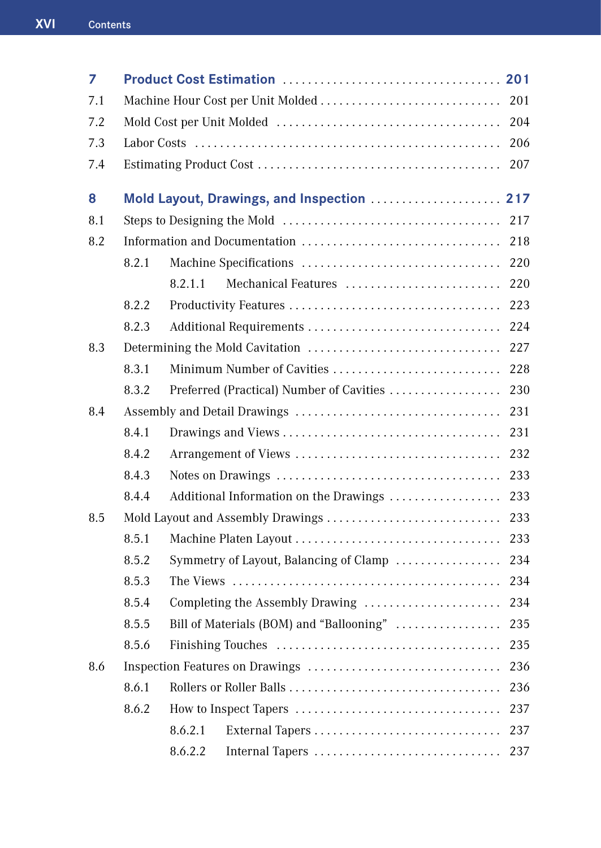| 7   |       |         |                                               |     |
|-----|-------|---------|-----------------------------------------------|-----|
| 7.1 |       |         |                                               | 201 |
| 7.2 |       |         |                                               | 204 |
| 7.3 |       |         |                                               | 206 |
| 7.4 |       |         |                                               | 207 |
| 8   |       |         | Mold Layout, Drawings, and Inspection  217    |     |
| 8.1 |       |         |                                               | 217 |
| 8.2 |       |         |                                               | 218 |
|     | 8.2.1 |         |                                               | 220 |
|     |       | 8.2.1.1 | Mechanical Features                           | 220 |
|     | 8.2.2 |         |                                               | 223 |
|     | 8.2.3 |         | Additional Requirements                       | 224 |
| 8.3 |       |         |                                               | 227 |
|     | 8.3.1 |         | Minimum Number of Cavities                    | 228 |
|     | 8.3.2 |         | Preferred (Practical) Number of Cavities      | 230 |
| 8.4 |       |         |                                               | 231 |
|     | 8.4.1 |         |                                               | 231 |
|     | 8.4.2 |         |                                               | 232 |
|     | 8.4.3 |         |                                               | 233 |
|     | 8.4.4 |         | Additional Information on the Drawings        | 233 |
| 8.5 |       |         | Mold Layout and Assembly Drawings             | 233 |
|     | 8.5.1 |         |                                               |     |
|     | 8.5.2 |         | Symmetry of Layout, Balancing of Clamp        | 234 |
|     | 8.5.3 |         |                                               | 234 |
|     | 8.5.4 |         |                                               |     |
|     | 8.5.5 |         | Bill of Materials (BOM) and "Ballooning"  235 |     |
|     | 8.5.6 |         |                                               | 235 |
| 8.6 |       |         |                                               | 236 |
|     | 8.6.1 |         |                                               | 236 |
|     | 8.6.2 |         |                                               | 237 |
|     |       | 8.6.2.1 |                                               | 237 |
|     |       | 8.6.2.2 | Internal Tapers                               | 237 |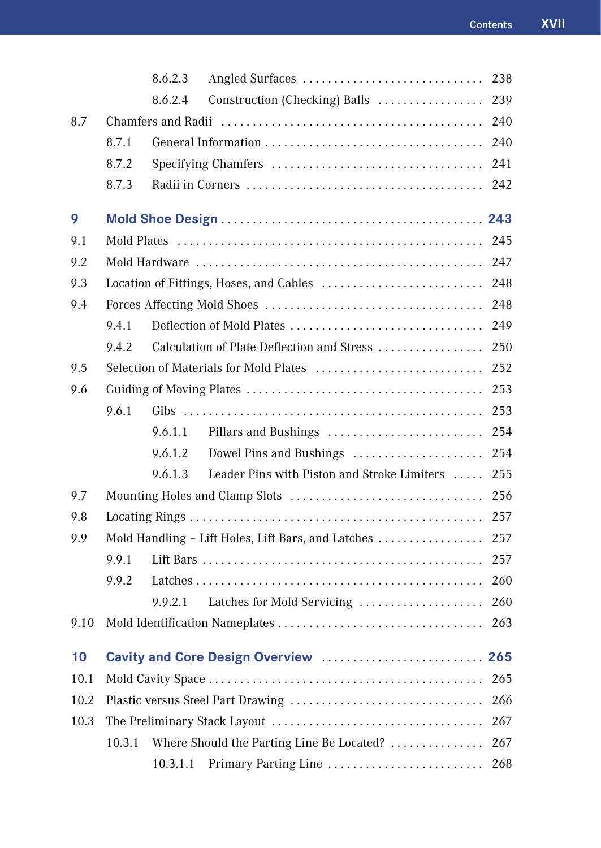|      |        | 8.6.2.3  | Angled Surfaces                                    | 238 |
|------|--------|----------|----------------------------------------------------|-----|
|      |        | 8.6.2.4  | Construction (Checking) Balls  239                 |     |
| 8.7  |        |          |                                                    | 240 |
|      | 8.7.1  |          |                                                    |     |
|      | 8.7.2  |          |                                                    | 241 |
|      | 8.7.3  |          |                                                    | 242 |
| 9    |        |          |                                                    |     |
| 9.1  |        |          |                                                    | 245 |
| 9.2  |        |          |                                                    |     |
| 9.3  |        |          |                                                    | 248 |
| 9.4  |        |          |                                                    | 248 |
|      | 9.4.1  |          | Deflection of Mold Plates                          | 249 |
|      | 9.4.2  |          | Calculation of Plate Deflection and Stress         | 250 |
| 9.5  |        |          |                                                    | 252 |
| 9.6  |        |          |                                                    | 253 |
|      | 9.6.1  |          |                                                    | 253 |
|      |        | 9.6.1.1  |                                                    |     |
|      |        | 9.6.1.2  | Dowel Pins and Bushings                            | 254 |
|      |        | 9.6.1.3  | Leader Pins with Piston and Stroke Limiters        | 255 |
| 9.7  |        |          |                                                    | 256 |
| 9.8  |        |          |                                                    | 257 |
| 9.9  |        |          | Mold Handling - Lift Holes, Lift Bars, and Latches | 257 |
|      | 9.9.1  |          |                                                    | 257 |
|      | 9.9.2  |          |                                                    | 260 |
|      |        | 9.9.2.1  | Latches for Mold Servicing                         | 260 |
| 9.10 |        |          |                                                    | 263 |
| 10   |        |          | Cavity and Core Design Overview                    | 265 |
| 10.1 |        |          |                                                    | 265 |
| 10.2 |        |          |                                                    | 266 |
| 10.3 |        |          |                                                    | 267 |
|      | 10.3.1 |          | Where Should the Parting Line Be Located?          | 267 |
|      |        | 10.3.1.1 | Primary Parting Line                               | 268 |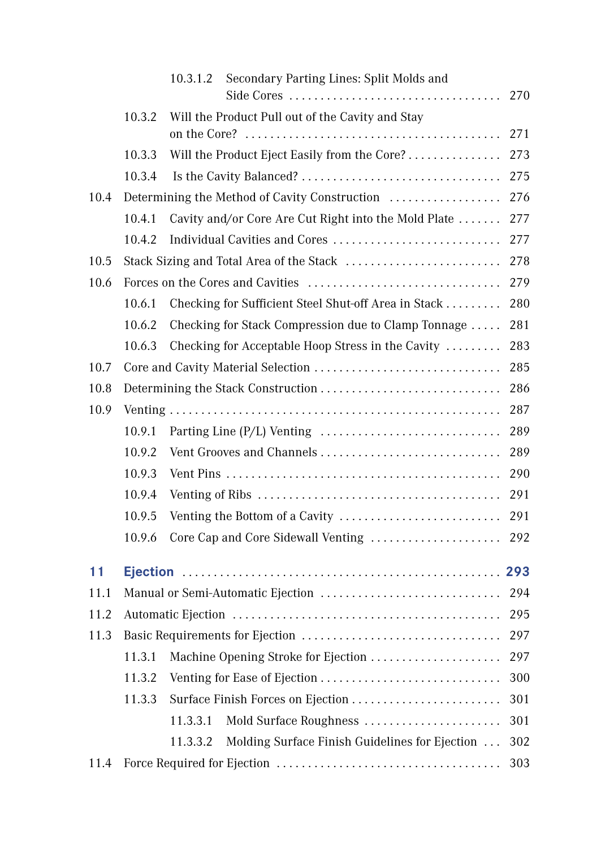|      |        | Secondary Parting Lines: Split Molds and<br>10.3.1.2       | 270 |
|------|--------|------------------------------------------------------------|-----|
|      | 10.3.2 | Will the Product Pull out of the Cavity and Stay           |     |
|      |        |                                                            | 271 |
|      | 10.3.3 | Will the Product Eject Easily from the Core?               | 273 |
|      | 10.3.4 |                                                            | 275 |
| 10.4 |        | Determining the Method of Cavity Construction              | 276 |
|      | 10.4.1 | Cavity and/or Core Are Cut Right into the Mold Plate       | 277 |
|      | 10.4.2 |                                                            | 277 |
| 10.5 |        | Stack Sizing and Total Area of the Stack                   | 278 |
| 10.6 |        |                                                            | 279 |
|      | 10.6.1 | Checking for Sufficient Steel Shut-off Area in Stack       | 280 |
|      | 10.6.2 | Checking for Stack Compression due to Clamp Tonnage        | 281 |
|      | 10.6.3 | Checking for Acceptable Hoop Stress in the Cavity          | 283 |
| 10.7 |        |                                                            | 285 |
| 10.8 |        |                                                            | 286 |
| 10.9 |        |                                                            | 287 |
|      | 10.9.1 |                                                            | 289 |
|      | 10.9.2 | Vent Grooves and Channels                                  | 289 |
|      | 10.9.3 |                                                            | 290 |
|      | 10.9.4 |                                                            | 291 |
|      | 10.9.5 |                                                            | 291 |
|      | 10.9.6 | Core Cap and Core Sidewall Venting                         | 292 |
| 11   |        |                                                            |     |
| 11.1 |        |                                                            | 294 |
| 11.2 |        |                                                            | 295 |
| 11.3 |        |                                                            | 297 |
|      | 11.3.1 | Machine Opening Stroke for Ejection                        | 297 |
|      | 11.3.2 |                                                            | 300 |
|      | 11.3.3 | Surface Finish Forces on Ejection                          | 301 |
|      |        | Mold Surface Roughness<br>11.3.3.1                         | 301 |
|      |        | Molding Surface Finish Guidelines for Ejection<br>11.3.3.2 | 302 |
| 11.4 |        |                                                            | 303 |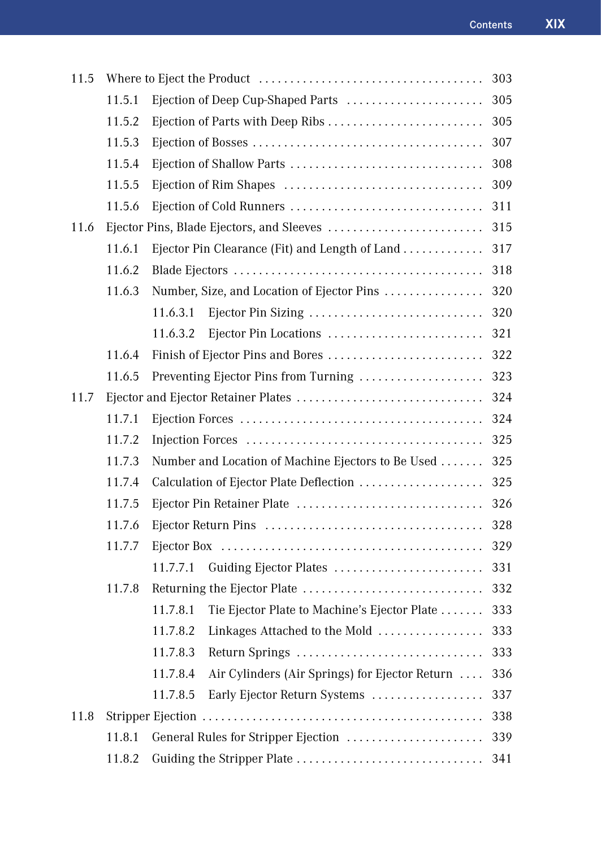| 11.5 |        |                                                            | 303 |
|------|--------|------------------------------------------------------------|-----|
|      | 11.5.1 | Ejection of Deep Cup-Shaped Parts                          | 305 |
|      | 11.5.2 | Ejection of Parts with Deep Ribs                           | 305 |
|      | 11.5.3 |                                                            | 307 |
|      | 11.5.4 |                                                            | 308 |
|      | 11.5.5 |                                                            | 309 |
|      | 11.5.6 | Ejection of Cold Runners                                   | 311 |
| 11.6 |        |                                                            | 315 |
|      | 11.6.1 | Ejector Pin Clearance (Fit) and Length of Land             | 317 |
|      | 11.6.2 |                                                            | 318 |
|      | 11.6.3 | Number, Size, and Location of Ejector Pins                 | 320 |
|      |        | Ejector Pin Sizing<br>11.6.3.1                             | 320 |
|      |        | Ejector Pin Locations<br>11.6.3.2                          | 321 |
|      | 11.6.4 |                                                            | 322 |
|      | 11.6.5 | Preventing Ejector Pins from Turning                       | 323 |
| 11.7 |        |                                                            | 324 |
|      | 11.7.1 |                                                            | 324 |
|      | 11.7.2 |                                                            | 325 |
|      | 11.7.3 | Number and Location of Machine Ejectors to Be Used         | 325 |
|      | 11.7.4 | Calculation of Ejector Plate Deflection                    | 325 |
|      | 11.7.5 | Ejector Pin Retainer Plate                                 | 326 |
|      | 11.7.6 |                                                            | 328 |
|      | 11.7.7 |                                                            | 329 |
|      |        | 11.7.7.1<br>Guiding Ejector Plates                         | 331 |
|      | 11.7.8 |                                                            | 332 |
|      |        | 11.7.8.1<br>Tie Ejector Plate to Machine's Ejector Plate   | 333 |
|      |        | 11.7.8.2 Linkages Attached to the Mold                     | 333 |
|      |        | 11.7.8.3<br>Return Springs                                 | 333 |
|      |        | 11.7.8.4<br>Air Cylinders (Air Springs) for Ejector Return | 336 |
|      |        | 11.7.8.5<br>Early Ejector Return Systems                   | 337 |
| 11.8 |        |                                                            | 338 |
|      | 11.8.1 | General Rules for Stripper Ejection                        | 339 |
|      | 11.8.2 |                                                            | 341 |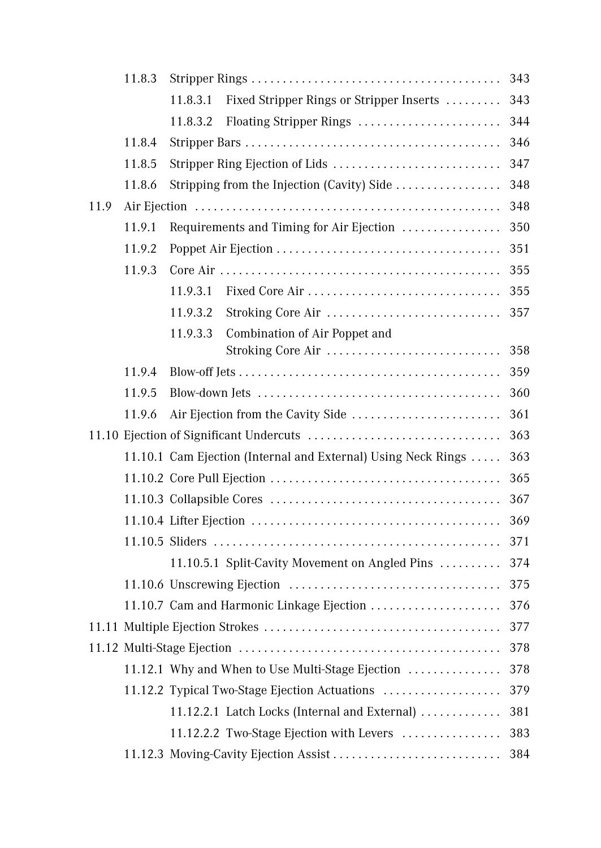|      | 11.8.3 |                                                               | 343 |
|------|--------|---------------------------------------------------------------|-----|
|      |        | Fixed Stripper Rings or Stripper Inserts<br>11.8.3.1          | 343 |
|      |        | Floating Stripper Rings<br>11.8.3.2                           | 344 |
|      | 11.8.4 |                                                               | 346 |
|      | 11.8.5 | Stripper Ring Ejection of Lids                                | 347 |
|      | 11.8.6 | Stripping from the Injection (Cavity) Side                    | 348 |
| 11.9 |        |                                                               | 348 |
|      | 11.9.1 | Requirements and Timing for Air Ejection                      | 350 |
|      | 11.9.2 |                                                               | 351 |
|      | 11.9.3 |                                                               | 355 |
|      |        | Fixed Core Air<br>11.9.3.1                                    | 355 |
|      |        | Stroking Core Air<br>11.9.3.2                                 | 357 |
|      |        | 11.9.3.3<br>Combination of Air Poppet and                     |     |
|      |        | Stroking Core Air                                             | 358 |
|      | 11.9.4 |                                                               | 359 |
|      | 11.9.5 |                                                               | 360 |
|      | 11.9.6 |                                                               | 361 |
|      |        | 11.10 Ejection of Significant Undercuts                       | 363 |
|      |        | 11.10.1 Cam Ejection (Internal and External) Using Neck Rings | 363 |
|      |        |                                                               | 365 |
|      |        |                                                               | 367 |
|      |        |                                                               | 369 |
|      |        |                                                               | 371 |
|      |        | 11.10.5.1 Split-Cavity Movement on Angled Pins                | 374 |
|      |        |                                                               | 375 |
|      |        | 11.10.7 Cam and Harmonic Linkage Ejection                     | 376 |
|      |        | 11.11 Multiple Ejection Strokes                               | 377 |
|      |        |                                                               | 378 |
|      |        | 11.12.1 Why and When to Use Multi-Stage Ejection              | 378 |
|      |        | 11.12.2 Typical Two-Stage Ejection Actuations                 | 379 |
|      |        | 11.12.2.1 Latch Locks (Internal and External)                 | 381 |
|      |        | 11.12.2.2 Two-Stage Ejection with Levers                      | 383 |
|      |        | 11.12.3 Moving-Cavity Ejection Assist                         | 384 |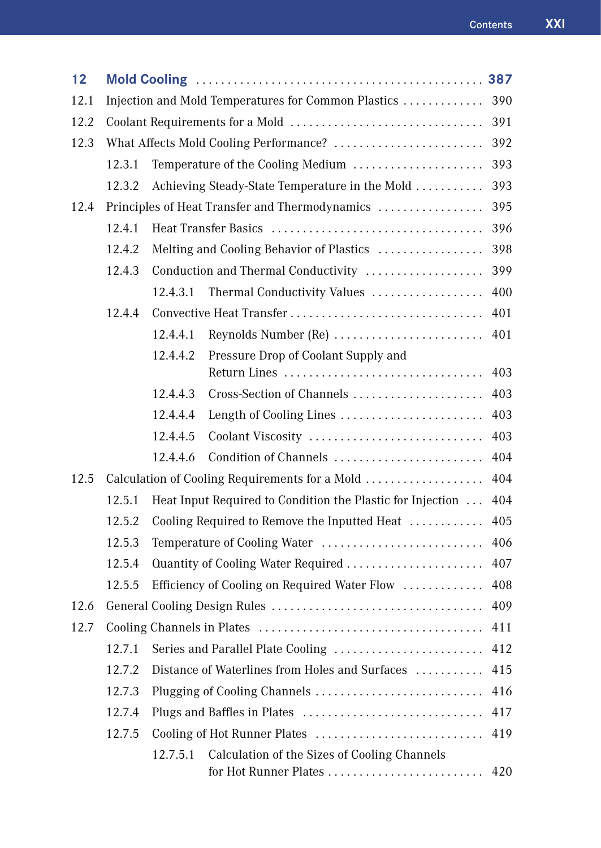| 12   |        |          |                                                            | 387 |
|------|--------|----------|------------------------------------------------------------|-----|
| 12.1 |        |          | Injection and Mold Temperatures for Common Plastics        | 390 |
| 12.2 |        |          |                                                            | 391 |
| 12.3 |        |          | What Affects Mold Cooling Performance?                     | 392 |
|      | 12.3.1 |          | Temperature of the Cooling Medium                          | 393 |
|      | 12.3.2 |          | Achieving Steady-State Temperature in the Mold             | 393 |
| 12.4 |        |          | Principles of Heat Transfer and Thermodynamics             | 395 |
|      | 12.4.1 |          |                                                            | 396 |
|      | 12.4.2 |          | Melting and Cooling Behavior of Plastics                   | 398 |
|      | 12.4.3 |          | Conduction and Thermal Conductivity                        | 399 |
|      |        | 12.4.3.1 | Thermal Conductivity Values                                | 400 |
|      | 12.4.4 |          | Convective Heat Transfer                                   | 401 |
|      |        | 12.4.4.1 | Reynolds Number (Re)                                       | 401 |
|      |        | 12.4.4.2 | Pressure Drop of Coolant Supply and<br>Return Lines        | 403 |
|      |        | 12.4.4.3 | Cross-Section of Channels                                  | 403 |
|      |        | 12.4.4.4 | Length of Cooling Lines                                    | 403 |
|      |        | 12.4.4.5 | Coolant Viscosity                                          | 403 |
|      |        | 12.4.4.6 | Condition of Channels                                      | 404 |
| 12.5 |        |          | Calculation of Cooling Requirements for a Mold             | 404 |
|      | 12.5.1 |          | Heat Input Required to Condition the Plastic for Injection | 404 |
|      | 12.5.2 |          | Cooling Required to Remove the Inputted Heat               | 405 |
|      | 12.5.3 |          | Temperature of Cooling Water                               | 406 |
|      | 12.5.4 |          | Quantity of Cooling Water Required                         | 407 |
|      | 12.5.5 |          | Efficiency of Cooling on Required Water Flow               | 408 |
| 12.6 |        |          |                                                            | 409 |
| 12.7 |        |          |                                                            | 411 |
|      | 12.7.1 |          | Series and Parallel Plate Cooling                          | 412 |
|      | 12.7.2 |          | Distance of Waterlines from Holes and Surfaces             | 415 |
|      | 12.7.3 |          | Plugging of Cooling Channels                               | 416 |
|      | 12.7.4 |          | Plugs and Baffles in Plates                                | 417 |
|      | 12.7.5 |          |                                                            | 419 |
|      |        | 12.7.5.1 | Calculation of the Sizes of Cooling Channels               | 420 |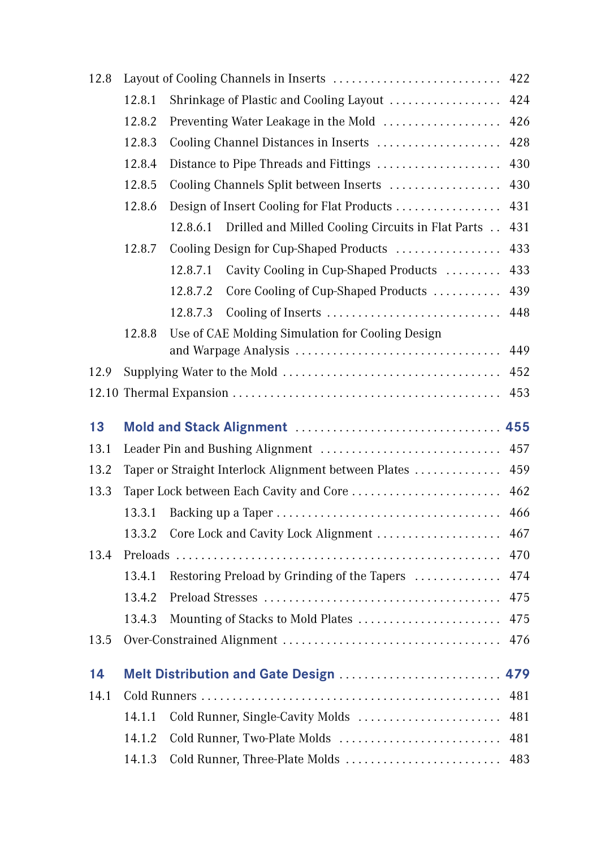| 12.8 |        | Layout of Cooling Channels in Inserts                         | 422 |
|------|--------|---------------------------------------------------------------|-----|
|      | 12.8.1 | Shrinkage of Plastic and Cooling Layout                       | 424 |
|      | 12.8.2 | Preventing Water Leakage in the Mold                          | 426 |
|      | 12.8.3 | Cooling Channel Distances in Inserts                          | 428 |
|      | 12.8.4 | Distance to Pipe Threads and Fittings                         | 430 |
|      | 12.8.5 | Cooling Channels Split between Inserts                        | 430 |
|      | 12.8.6 |                                                               | 431 |
|      |        | Drilled and Milled Cooling Circuits in Flat Parts<br>12.8.6.1 | 431 |
|      | 12.8.7 | Cooling Design for Cup-Shaped Products                        | 433 |
|      |        | 12.8.7.1<br>Cavity Cooling in Cup-Shaped Products             | 433 |
|      |        | 12.8.7.2<br>Core Cooling of Cup-Shaped Products               | 439 |
|      |        | 12.8.7.3<br>Cooling of Inserts                                | 448 |
|      | 12.8.8 | Use of CAE Molding Simulation for Cooling Design              |     |
|      |        |                                                               | 449 |
| 12.9 |        |                                                               | 452 |
|      |        |                                                               | 453 |
| 13   |        |                                                               |     |
| 13.1 |        |                                                               | 457 |
| 13.2 |        | Taper or Straight Interlock Alignment between Plates          | 459 |
| 13.3 |        | Taper Lock between Each Cavity and Core                       | 462 |
|      | 13.3.1 |                                                               | 466 |
|      | 13.3.2 | Core Lock and Cavity Lock Alignment                           | 467 |
| 13.4 |        |                                                               | 470 |
|      |        |                                                               |     |
|      | 13.4.1 |                                                               | 474 |
|      | 13.4.2 | Restoring Preload by Grinding of the Tapers                   | 475 |
|      | 13.4.3 | Mounting of Stacks to Mold Plates                             | 475 |
| 13.5 |        |                                                               | 476 |
| 14   |        | Melt Distribution and Gate Design                             | 479 |
| 14.1 |        |                                                               | 481 |
|      | 14.1.1 | Cold Runner, Single-Cavity Molds                              | 481 |
|      | 14.1.2 | Cold Runner, Two-Plate Molds                                  | 481 |
|      | 14.1.3 |                                                               | 483 |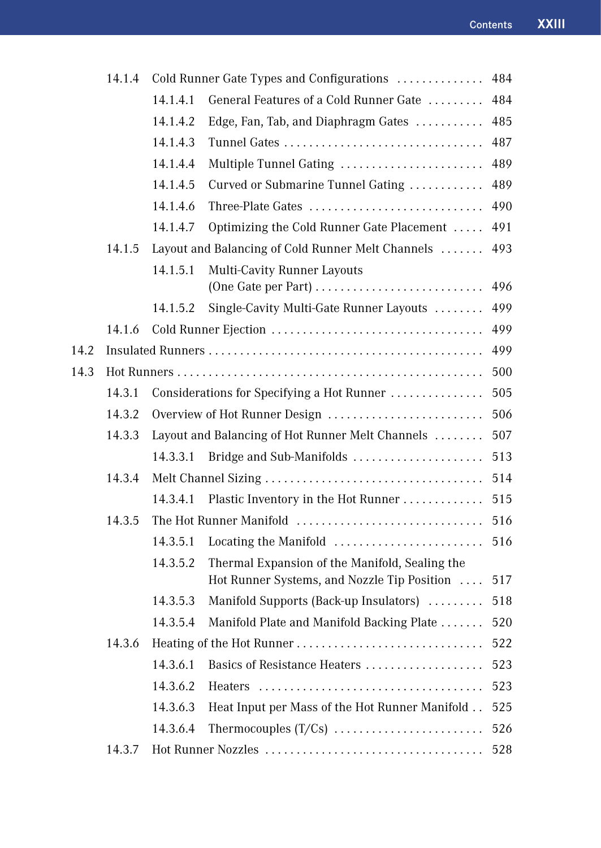| 14.1.4 |                                                  |                                                | 484                                                                                                                                                                                                                                                                                                                                                                                                              |
|--------|--------------------------------------------------|------------------------------------------------|------------------------------------------------------------------------------------------------------------------------------------------------------------------------------------------------------------------------------------------------------------------------------------------------------------------------------------------------------------------------------------------------------------------|
|        | 14.1.4.1                                         | General Features of a Cold Runner Gate         | 484                                                                                                                                                                                                                                                                                                                                                                                                              |
|        | 14.1.4.2                                         | Edge, Fan, Tab, and Diaphragm Gates            | 485                                                                                                                                                                                                                                                                                                                                                                                                              |
|        | 14.1.4.3                                         | Tunnel Gates                                   | 487                                                                                                                                                                                                                                                                                                                                                                                                              |
|        | 14.1.4.4                                         | Multiple Tunnel Gating                         | 489                                                                                                                                                                                                                                                                                                                                                                                                              |
|        | 14.1.4.5                                         | Curved or Submarine Tunnel Gating              | 489                                                                                                                                                                                                                                                                                                                                                                                                              |
|        | 14.1.4.6                                         | Three-Plate Gates                              | 490                                                                                                                                                                                                                                                                                                                                                                                                              |
|        | 14.1.4.7                                         | Optimizing the Cold Runner Gate Placement      | 491                                                                                                                                                                                                                                                                                                                                                                                                              |
| 14.1.5 |                                                  |                                                | 493                                                                                                                                                                                                                                                                                                                                                                                                              |
|        | 14.1.5.1                                         | <b>Multi-Cavity Runner Layouts</b>             | 496                                                                                                                                                                                                                                                                                                                                                                                                              |
|        |                                                  |                                                | 499                                                                                                                                                                                                                                                                                                                                                                                                              |
|        |                                                  |                                                | 499                                                                                                                                                                                                                                                                                                                                                                                                              |
|        |                                                  |                                                | 499                                                                                                                                                                                                                                                                                                                                                                                                              |
|        |                                                  |                                                | 500                                                                                                                                                                                                                                                                                                                                                                                                              |
| 14.3.1 |                                                  |                                                | 505                                                                                                                                                                                                                                                                                                                                                                                                              |
| 14.3.2 |                                                  |                                                | 506                                                                                                                                                                                                                                                                                                                                                                                                              |
| 14.3.3 | Layout and Balancing of Hot Runner Melt Channels |                                                | 507                                                                                                                                                                                                                                                                                                                                                                                                              |
|        | 14.3.3.1                                         | Bridge and Sub-Manifolds                       | 513                                                                                                                                                                                                                                                                                                                                                                                                              |
| 14.3.4 |                                                  |                                                | 514                                                                                                                                                                                                                                                                                                                                                                                                              |
|        | 14.3.4.1                                         | Plastic Inventory in the Hot Runner            | 515                                                                                                                                                                                                                                                                                                                                                                                                              |
| 14.3.5 |                                                  |                                                | 516                                                                                                                                                                                                                                                                                                                                                                                                              |
|        | 14.3.5.1                                         | Locating the Manifold                          | 516                                                                                                                                                                                                                                                                                                                                                                                                              |
|        | 14.3.5.2                                         | Thermal Expansion of the Manifold, Sealing the | 517                                                                                                                                                                                                                                                                                                                                                                                                              |
|        |                                                  |                                                | 518                                                                                                                                                                                                                                                                                                                                                                                                              |
|        | 14.3.5.4                                         |                                                | 520                                                                                                                                                                                                                                                                                                                                                                                                              |
| 14.3.6 | 522                                              |                                                |                                                                                                                                                                                                                                                                                                                                                                                                                  |
|        | 14.3.6.1                                         | Basics of Resistance Heaters                   | 523                                                                                                                                                                                                                                                                                                                                                                                                              |
|        | 14.3.6.2                                         |                                                | 523                                                                                                                                                                                                                                                                                                                                                                                                              |
|        | 14.3.6.3                                         | Heat Input per Mass of the Hot Runner Manifold | 525                                                                                                                                                                                                                                                                                                                                                                                                              |
|        | 14.3.6.4                                         |                                                | 526                                                                                                                                                                                                                                                                                                                                                                                                              |
| 14.3.7 |                                                  |                                                | 528                                                                                                                                                                                                                                                                                                                                                                                                              |
|        | 14.1.6                                           | 14.1.5.2<br>14.3.5.3                           | Cold Runner Gate Types and Configurations<br>Layout and Balancing of Cold Runner Melt Channels<br>(One Gate per Part)<br>Single-Cavity Multi-Gate Runner Layouts<br>Considerations for Specifying a Hot Runner<br>Overview of Hot Runner Design<br>The Hot Runner Manifold<br>Hot Runner Systems, and Nozzle Tip Position<br>Manifold Supports (Back-up Insulators)<br>Manifold Plate and Manifold Backing Plate |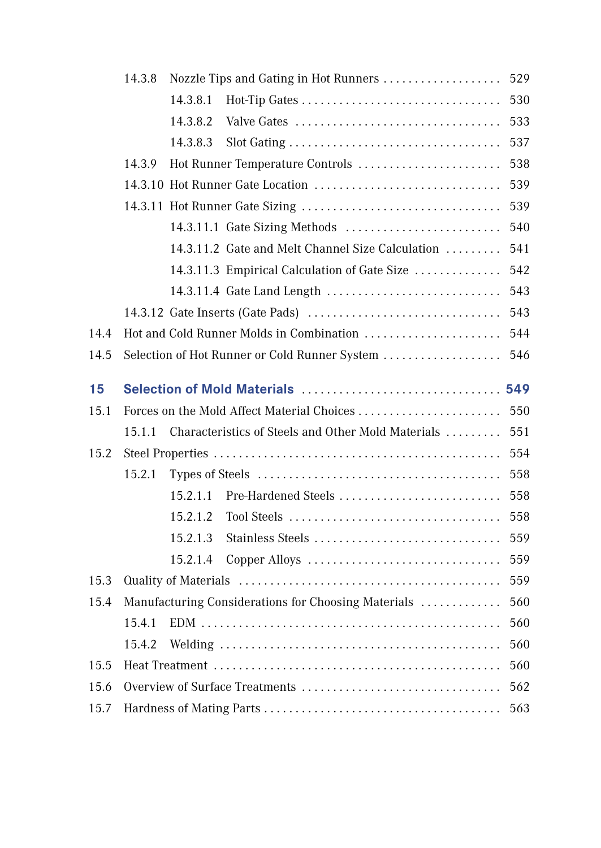|      | 14.3.8 | 529<br>Nozzle Tips and Gating in Hot Runners |                                                     |     |
|------|--------|----------------------------------------------|-----------------------------------------------------|-----|
|      |        | 14.3.8.1                                     |                                                     | 530 |
|      |        | 14.3.8.2                                     | Valve Gates                                         | 533 |
|      |        | 14.3.8.3                                     |                                                     | 537 |
|      | 14.3.9 |                                              | Hot Runner Temperature Controls                     | 538 |
|      |        |                                              | 14.3.10 Hot Runner Gate Location                    | 539 |
|      |        |                                              |                                                     | 539 |
|      |        |                                              |                                                     | 540 |
|      |        |                                              | 14.3.11.2 Gate and Melt Channel Size Calculation    | 541 |
|      |        |                                              | 14.3.11.3 Empirical Calculation of Gate Size        | 542 |
|      |        |                                              | 14.3.11.4 Gate Land Length                          | 543 |
|      |        |                                              |                                                     | 543 |
| 14.4 |        |                                              | Hot and Cold Runner Molds in Combination            | 544 |
| 14.5 |        |                                              | Selection of Hot Runner or Cold Runner System       | 546 |
| 15   |        |                                              |                                                     |     |
| 15.1 |        |                                              |                                                     | 550 |
|      | 15.1.1 |                                              | Characteristics of Steels and Other Mold Materials  | 551 |
| 15.2 |        |                                              |                                                     | 554 |
|      | 15.2.1 |                                              |                                                     | 558 |
|      |        | 15.2.1.1                                     | Pre-Hardened Steels                                 | 558 |
|      |        | 15.2.1.2                                     |                                                     | 558 |
|      |        | 15.2.1.3                                     | Stainless Steels                                    | 559 |
|      |        | 15.2.1.4                                     | Copper Alloys                                       | 559 |
| 15.3 |        |                                              |                                                     | 559 |
| 15.4 |        |                                              | Manufacturing Considerations for Choosing Materials | 560 |
|      | 15.4.1 |                                              |                                                     | 560 |
|      |        |                                              |                                                     |     |
|      | 15.4.2 |                                              |                                                     | 560 |
| 15.5 |        |                                              |                                                     | 560 |
| 15.6 |        |                                              | Overview of Surface Treatments                      | 562 |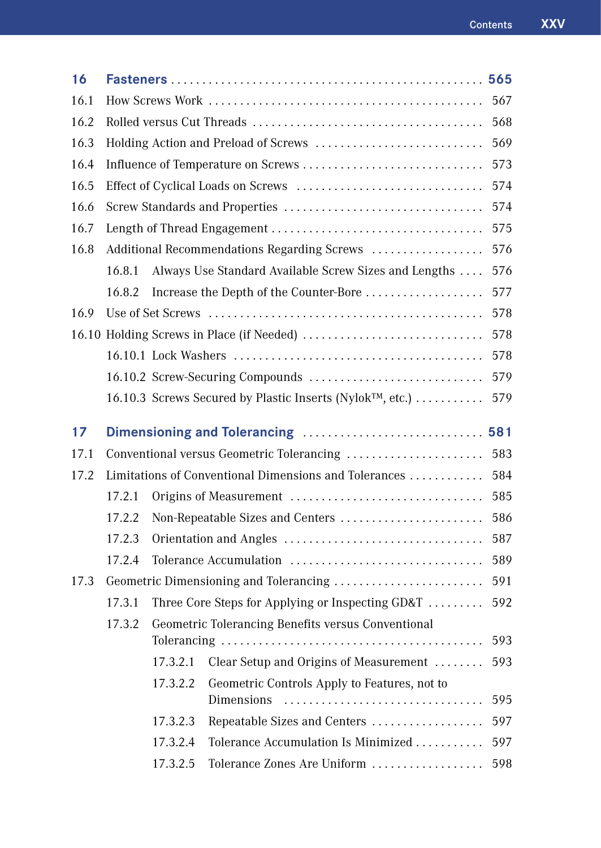| 16   |                                                       |          |                                                            | 565 |
|------|-------------------------------------------------------|----------|------------------------------------------------------------|-----|
| 16.1 |                                                       | 567      |                                                            |     |
| 16.2 |                                                       | 568      |                                                            |     |
| 16.3 |                                                       |          | Holding Action and Preload of Screws                       | 569 |
| 16.4 |                                                       |          | Influence of Temperature on Screws                         | 573 |
| 16.5 |                                                       |          |                                                            | 574 |
| 16.6 |                                                       |          |                                                            | 574 |
| 16.7 |                                                       |          |                                                            | 575 |
| 16.8 | Additional Recommendations Regarding Screws           |          |                                                            | 576 |
|      | 16.8.1                                                |          | Always Use Standard Available Screw Sizes and Lengths      | 576 |
|      | 16.8.2                                                |          | Increase the Depth of the Counter-Bore                     | 577 |
| 16.9 |                                                       |          |                                                            | 578 |
|      |                                                       |          |                                                            | 578 |
|      |                                                       |          |                                                            | 578 |
|      |                                                       |          |                                                            | 579 |
|      |                                                       |          | 16.10.3 Screws Secured by Plastic Inserts (Nylok™, etc.)   | 579 |
| 17   |                                                       |          |                                                            |     |
| 17.1 |                                                       |          | Conventional versus Geometric Tolerancing                  | 583 |
| 17.2 | Limitations of Conventional Dimensions and Tolerances |          |                                                            | 584 |
|      | 17.2.1                                                |          | Origins of Measurement                                     | 585 |
|      | 17.2.2                                                |          | Non-Repeatable Sizes and Centers                           | 586 |
|      | 17.2.3                                                |          |                                                            | 587 |
|      | 17.2.4                                                |          |                                                            | 589 |
| 17.3 |                                                       |          |                                                            | 591 |
|      | 17.3.1                                                |          | Three Core Steps for Applying or Inspecting GD&T           | 592 |
|      | 17.3.2                                                |          | Geometric Tolerancing Benefits versus Conventional         |     |
|      |                                                       |          |                                                            | 593 |
|      |                                                       | 17.3.2.1 | Clear Setup and Origins of Measurement                     | 593 |
|      |                                                       | 17.3.2.2 | Geometric Controls Apply to Features, not to<br>Dimensions | 595 |
|      |                                                       | 17.3.2.3 | Repeatable Sizes and Centers                               | 597 |
|      |                                                       |          |                                                            |     |
|      |                                                       | 17.3.2.4 | Tolerance Accumulation Is Minimized                        | 597 |
|      |                                                       | 17.3.2.5 | Tolerance Zones Are Uniform                                | 598 |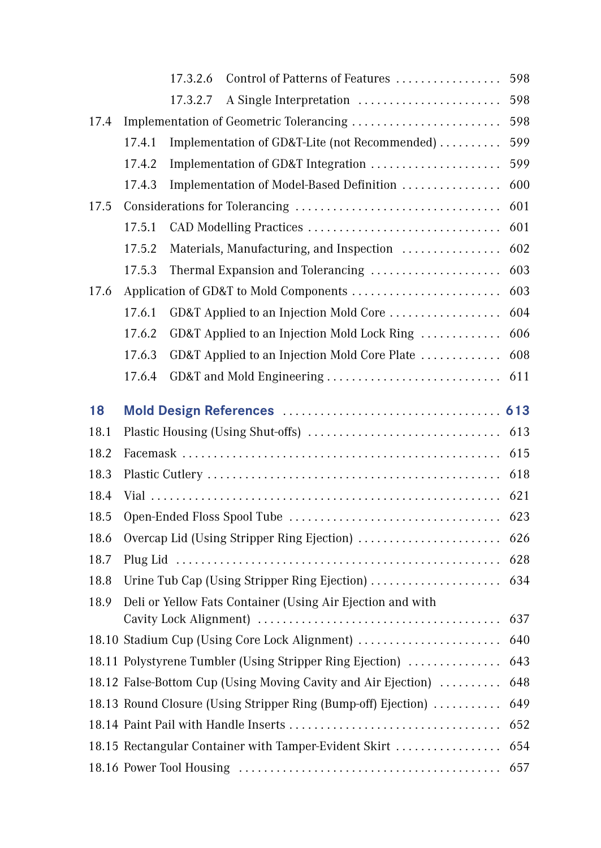|      |        | 17.3.2.6<br>Control of Patterns of Features                   | 598 |
|------|--------|---------------------------------------------------------------|-----|
|      |        | A Single Interpretation<br>17.3.2.7                           | 598 |
| 17.4 |        | Implementation of Geometric Tolerancing                       | 598 |
|      | 17.4.1 | Implementation of GD&T-Lite (not Recommended)                 | 599 |
|      | 17.4.2 | Implementation of GD&T Integration                            | 599 |
|      | 17.4.3 | Implementation of Model-Based Definition                      | 600 |
| 17.5 |        |                                                               | 601 |
|      | 17.5.1 | CAD Modelling Practices                                       | 601 |
|      | 17.5.2 | Materials, Manufacturing, and Inspection                      | 602 |
|      | 17.5.3 | Thermal Expansion and Tolerancing                             | 603 |
| 17.6 |        |                                                               | 603 |
|      | 17.6.1 | GD&T Applied to an Injection Mold Core                        | 604 |
|      | 17.6.2 | GD&T Applied to an Injection Mold Lock Ring                   | 606 |
|      | 17.6.3 | GD&T Applied to an Injection Mold Core Plate                  | 608 |
|      | 17.6.4 | GD&T and Mold Engineering                                     | 611 |
|      |        |                                                               |     |
| 18   |        |                                                               |     |
| 18.1 |        |                                                               | 613 |
| 18.2 |        |                                                               | 615 |
| 18.3 |        |                                                               | 618 |
| 18.4 |        |                                                               | 621 |
| 18.5 |        |                                                               | 623 |
| 18.6 |        | Overcap Lid (Using Stripper Ring Ejection)                    | 626 |
| 18.7 |        |                                                               | 628 |
| 18.8 |        | Urine Tub Cap (Using Stripper Ring Ejection)                  | 634 |
| 18.9 |        | Deli or Yellow Fats Container (Using Air Ejection and with    | 637 |
|      |        | 18.10 Stadium Cup (Using Core Lock Alignment)                 | 640 |
|      |        | 18.11 Polystyrene Tumbler (Using Stripper Ring Ejection)      | 643 |
|      |        | 18.12 False-Bottom Cup (Using Moving Cavity and Air Ejection) | 648 |
|      |        | 18.13 Round Closure (Using Stripper Ring (Bump-off) Ejection) | 649 |
|      |        |                                                               | 652 |
|      |        | 18.15 Rectangular Container with Tamper-Evident Skirt         | 654 |
|      |        |                                                               | 657 |
|      |        |                                                               |     |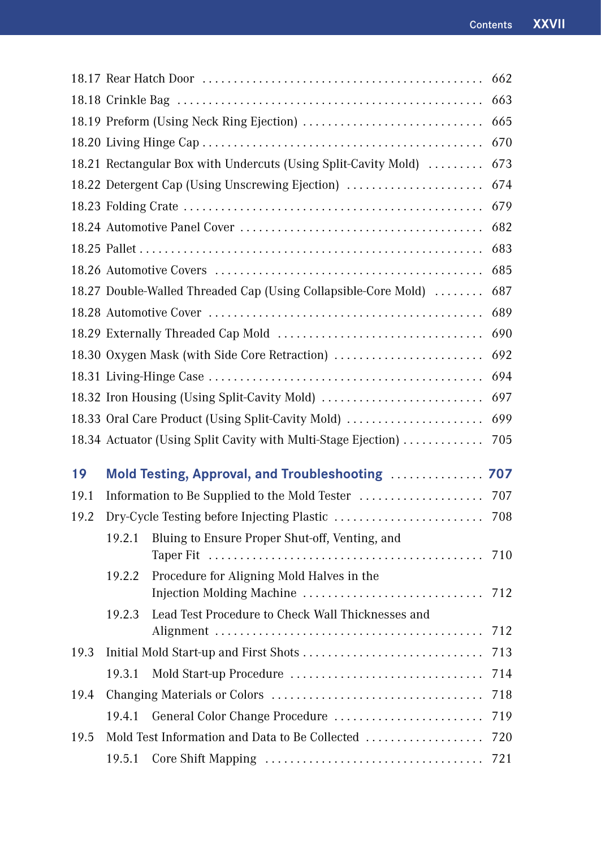|      |                                                 |                                                                                  | 662 |
|------|-------------------------------------------------|----------------------------------------------------------------------------------|-----|
|      | 663                                             |                                                                                  |     |
|      | 18.19 Preform (Using Neck Ring Ejection)<br>665 |                                                                                  |     |
|      |                                                 |                                                                                  | 670 |
|      |                                                 | 18.21 Rectangular Box with Undercuts (Using Split-Cavity Mold)                   | 673 |
|      |                                                 | 18.22 Detergent Cap (Using Unscrewing Ejection)                                  | 674 |
|      |                                                 |                                                                                  | 679 |
|      |                                                 |                                                                                  | 682 |
|      |                                                 |                                                                                  | 683 |
|      |                                                 |                                                                                  | 685 |
|      |                                                 | 18.27 Double-Walled Threaded Cap (Using Collapsible-Core Mold)                   | 687 |
|      |                                                 |                                                                                  | 689 |
|      |                                                 |                                                                                  | 690 |
|      |                                                 | 18.30 Oxygen Mask (with Side Core Retraction)                                    | 692 |
|      |                                                 |                                                                                  | 694 |
|      |                                                 | 18.32 Iron Housing (Using Split-Cavity Mold)                                     | 697 |
|      |                                                 | 18.33 Oral Care Product (Using Split-Cavity Mold)                                | 699 |
|      |                                                 | 18.34 Actuator (Using Split Cavity with Multi-Stage Ejection)                    | 705 |
| 19   |                                                 | Mold Testing, Approval, and Troubleshooting                                      | 707 |
| 19.1 |                                                 | Information to Be Supplied to the Mold Tester                                    | 707 |
| 19.2 |                                                 | Dry-Cycle Testing before Injecting Plastic                                       | 708 |
|      | 19.2.1                                          | Bluing to Ensure Proper Shut-off, Venting, and                                   |     |
|      |                                                 |                                                                                  | 710 |
|      |                                                 |                                                                                  |     |
|      | 19.2.2                                          | Procedure for Aligning Mold Halves in the                                        |     |
|      |                                                 |                                                                                  | 712 |
|      | 19.2.3                                          | Lead Test Procedure to Check Wall Thicknesses and                                | 712 |
| 19.3 |                                                 | Alignment                                                                        | 713 |
|      | 19.3.1                                          |                                                                                  | 714 |
| 19.4 |                                                 |                                                                                  | 718 |
|      | 19.4.1                                          |                                                                                  | 719 |
| 19.5 |                                                 | General Color Change Procedure<br>Mold Test Information and Data to Be Collected | 720 |